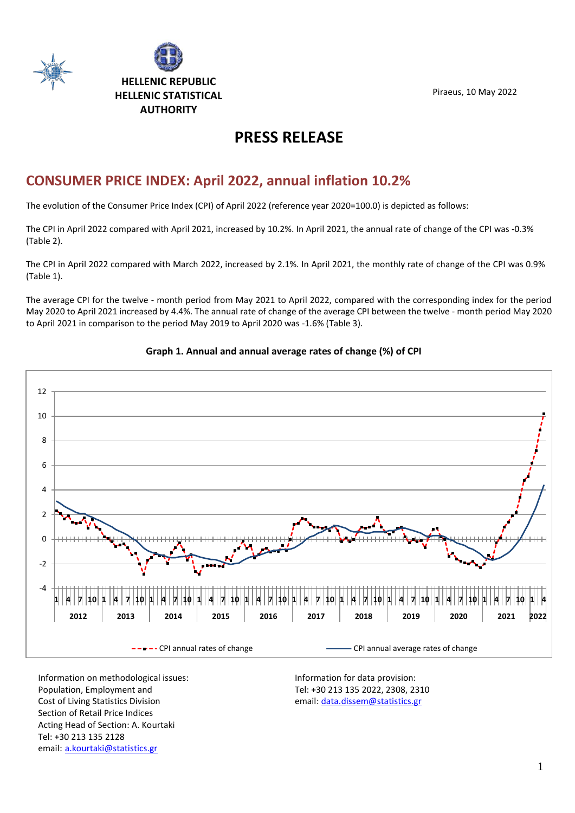



Piraeus, 10 May 2022

# **PRESS RELEASE**

# **CONSUMER PRICE INDEX: April 2022, annual inflation 10.2%**

The evolution of the Consumer Price Index (CPI) of April 2022 (reference year 2020=100.0) is depicted as follows:

The CPI in April 2022 compared with April 2021, increased by 10.2%. In April 2021, the annual rate of change of the CPI was -0.3% (Table 2).

The CPI in April 2022 compared with March 2022, increased by 2.1%. In April 2021, the monthly rate of change of the CPI was 0.9% (Table 1).

The average CPI for the twelve - month period from May 2021 to April 2022, compared with the corresponding index for the period May 2020 to April 2021 increased by 4.4%. The annual rate of change of the average CPI between the twelve - month period May 2020 to April 2021 in comparison to the period May 2019 to April 2020 was -1.6% (Table 3).



### **Graph 1. Annual and annual average rates of change (%) of CPI**

Information on methodological issues: Population, Employment and Cost of Living Statistics Division Section of Retail Price Indices Acting Head of Section: A. Kourtaki Tel: +30 213 135 2128 email: [a.kourtaki@statistics.gr](mailto:a.kourtaki@statistics.gr)

Information for data provision: Tel: +30 213 135 2022, 2308, 2310 email[: data.dissem@statistics.gr](mailto:data.dissem@statistics.gr)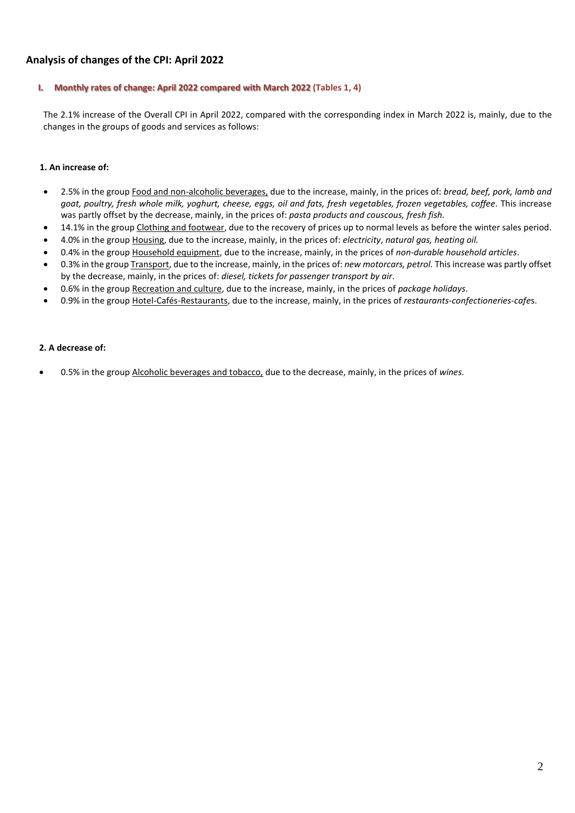### **Analysis of changes of the CPI: April 2022**

### **I. Monthly rates of change: April 2022 compared with March 2022 (Tables 1, 4)**

The 2.1% increase of the Overall CPI in April 2022, compared with the corresponding index in March 2022 is, mainly, due to the changes in the groups of goods and services as follows:

#### **1. An increase of:**

- 2.5% in the group Food and non-alcoholic beverages, due to the increase, mainly, in the prices of: *bread, beef, pork, lamb and goat, poultry, fresh whole milk, yoghurt, cheese, eggs, oil and fats, fresh vegetables, frozen vegetables, coffee.* This increase was partly offset by the decrease, mainly, in the prices of: *pasta products and couscous, fresh fish.*
- 14.1% in the group Clothing and footwear, due to the recovery of prices up to normal levels as before the winter sales period.
- 4.0% in the group Housing, due to the increase, mainly, in the prices of: *electricity*, *natural gas, heating oil.*
- 0.4% in the group Household equipment, due to the increase, mainly, in the prices of *non-durable household articles*.
- 0.3% in the group Transport, due to the increase, mainly, in the prices of: *new motorcars, petrol.* This increase was partly offset by the decrease, mainly, in the prices of: *diesel, tickets for passenger transport by air.*
- 0.6% in the group Recreation and culture, due to the increase, mainly, in the prices of *package holidays*.
- 0.9% in the group Hotel-Cafés-Restaurants, due to the increase, mainly, in the prices of *restaurants-confectioneries-cafe*s.

#### **2. A decrease of:**

• 0.5% in the group Alcoholic beverages and tobacco, due to the decrease, mainly, in the prices of *wines*.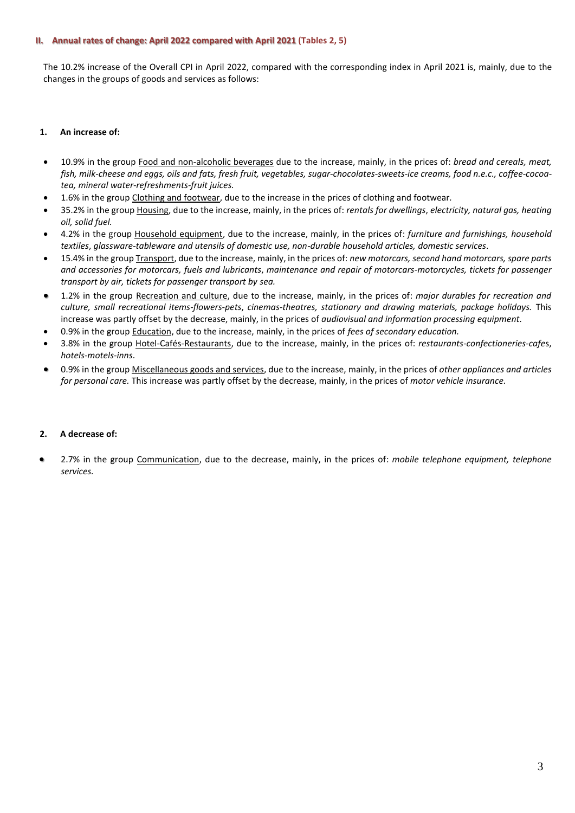#### **II. Annual rates of change: April 2022 compared with April 2021 (Tables 2, 5)**

The 10.2% increase of the Overall CPI in April 2022, compared with the corresponding index in April 2021 is, mainly, due to the changes in the groups of goods and services as follows:

#### **1. An increase of:**

- 10.9% in the group Food and non-alcoholic beverages due to the increase, mainly, in the prices of: *bread and cereals, meat, fish, milk-cheese and eggs, oils and fats, fresh fruit, vegetables, sugar-chocolates-sweets-ice creams, food n.e.c., coffee-cocoatea, mineral water-refreshments-fruit juices.*
- 1.6% in the group Clothing and footwear, due to the increase in the prices of clothing and footwear*.*
- 35.2% in the group Housing, due to the increase, mainly, in the prices of: *rentals for dwellings*, *electricity, natural gas, heating oil, solid fuel.*
- 4.2% in the group Household equipment, due to the increase, mainly, in the prices of: *furniture and furnishings, household textiles*, *glassware-tableware and utensils of domestic use, non-durable household articles, domestic services*.
- 15.4% in the group Transport, due to the increase, mainly, in the prices of: *new motorcars, second hand motorcars, spare parts and accessories for motorcars, fuels and lubricants*, *maintenance and repair of motorcars-motorcycles, tickets for passenger transport by air, tickets for passenger transport by sea.*
- 1.2% in the group Recreation and culture, due to the increase, mainly, in the prices of: *major durables for recreation and culture, small recreational items-flowers-pets*, *cinemas-theatres, stationary and drawing materials, package holidays.* This increase was partly offset by the decrease, mainly, in the prices of *audiovisual and information processing equipment.*
- 0.9% in the group Education, due to the increase, mainly, in the prices of *fees of secondary education.*
- 3.8% in the group Hotel-Cafés-Restaurants, due to the increase, mainly, in the prices of: *restaurants-confectioneries-cafe*s, *hotels-motels-inns*.
- 0.9% in the group Miscellaneous goods and services, due to the increase, mainly, in the prices of *other appliances and articles for personal care.* This increase was partly offset by the decrease, mainly, in the prices of *motor vehicle insurance.*

#### **2. A decrease of:**

• 2.7% in the group Communication, due to the decrease, mainly, in the prices of: *mobile telephone equipment, telephone services.*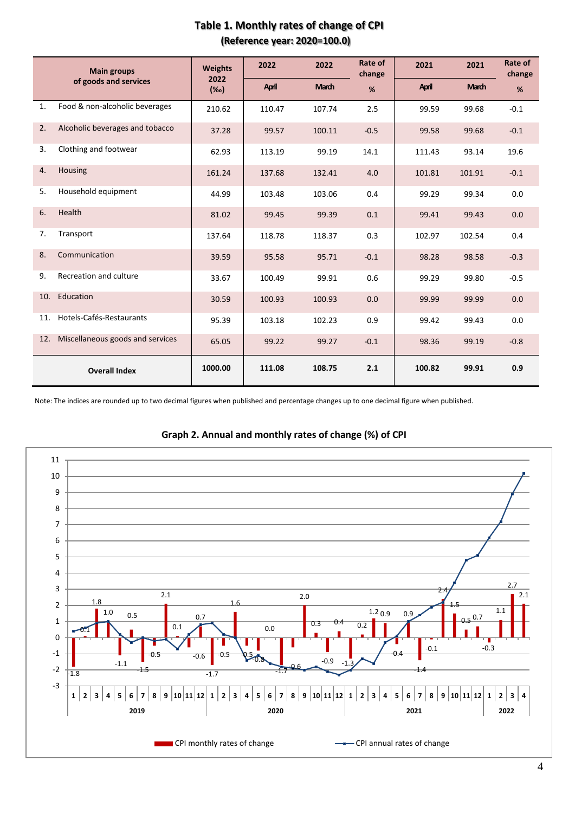|     | <b>Main groups</b>               | <b>Weights</b>     | 2022   | 2022         | Rate of<br>change | 2021   | 2021         | Rate of<br>change |
|-----|----------------------------------|--------------------|--------|--------------|-------------------|--------|--------------|-------------------|
|     | of goods and services            | 2022<br>$(\%circ)$ | April  | <b>March</b> | %                 | April  | <b>March</b> | %                 |
| 1.  | Food & non-alcoholic beverages   | 210.62             | 110.47 | 107.74       | 2.5               | 99.59  | 99.68        | $-0.1$            |
| 2.  | Alcoholic beverages and tobacco  | 37.28              | 99.57  | 100.11       | $-0.5$            | 99.58  | 99.68        | $-0.1$            |
| 3.  | Clothing and footwear            | 62.93              | 113.19 | 99.19        | 14.1              | 111.43 | 93.14        | 19.6              |
| 4.  | Housing                          | 161.24             | 137.68 | 132.41       | 4.0               | 101.81 | 101.91       | $-0.1$            |
| 5.  | Household equipment              | 44.99              | 103.48 | 103.06       | 0.4               | 99.29  | 99.34        | 0.0               |
| 6.  | Health                           | 81.02              | 99.45  | 99.39        | 0.1               | 99.41  | 99.43        | 0.0               |
| 7.  | Transport                        | 137.64             | 118.78 | 118.37       | 0.3               | 102.97 | 102.54       | 0.4               |
| 8.  | Communication                    | 39.59              | 95.58  | 95.71        | $-0.1$            | 98.28  | 98.58        | $-0.3$            |
| 9.  | Recreation and culture           | 33.67              | 100.49 | 99.91        | 0.6               | 99.29  | 99.80        | $-0.5$            |
| 10. | Education                        | 30.59              | 100.93 | 100.93       | 0.0               | 99.99  | 99.99        | 0.0               |
| 11. | Hotels-Cafés-Restaurants         | 95.39              | 103.18 | 102.23       | 0.9               | 99.42  | 99.43        | 0.0               |
| 12. | Miscellaneous goods and services | 65.05              | 99.22  | 99.27        | $-0.1$            | 98.36  | 99.19        | $-0.8$            |
|     | <b>Overall Index</b>             | 1000.00            | 111.08 | 108.75       | 2.1               | 100.82 | 99.91        | 0.9               |

# **Table 1. Monthly rates of change of CPI (Reference year: 2020=100.0)**

Note: The indices are rounded up to two decimal figures when published and percentage changes up to one decimal figure when published.



### **Graph 2. Annual and monthly rates of change (%) of CPI**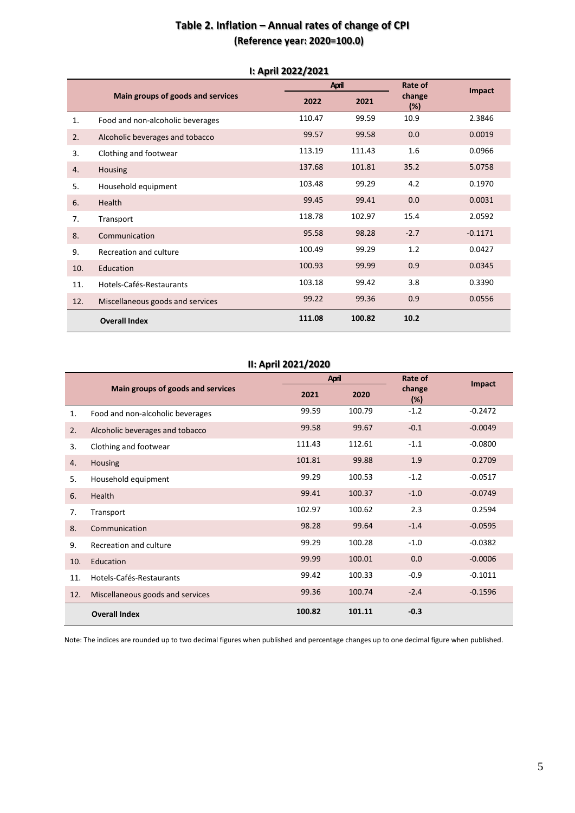# **Table 2. Inflation – Annual rates of change of CPI (Reference year: 2020=100.0)**

| I. APHI ZUZZI ZUZI |                                   |        |              |               |               |
|--------------------|-----------------------------------|--------|--------------|---------------|---------------|
|                    |                                   |        | <b>April</b> |               | <b>Impact</b> |
|                    | Main groups of goods and services | 2022   | 2021         | change<br>(%) |               |
| 1.                 | Food and non-alcoholic beverages  | 110.47 | 99.59        | 10.9          | 2.3846        |
| 2.                 | Alcoholic beverages and tobacco   | 99.57  | 99.58        | 0.0           | 0.0019        |
| 3.                 | Clothing and footwear             | 113.19 | 111.43       | 1.6           | 0.0966        |
| 4.                 | Housing                           | 137.68 | 101.81       | 35.2          | 5.0758        |
| 5.                 | Household equipment               | 103.48 | 99.29        | 4.2           | 0.1970        |
| 6.                 | Health                            | 99.45  | 99.41        | 0.0           | 0.0031        |
| 7.                 | Transport                         | 118.78 | 102.97       | 15.4          | 2.0592        |
| 8.                 | Communication                     | 95.58  | 98.28        | $-2.7$        | $-0.1171$     |
| 9.                 | Recreation and culture            | 100.49 | 99.29        | 1.2           | 0.0427        |
| 10.                | Education                         | 100.93 | 99.99        | 0.9           | 0.0345        |
| 11.                | Hotels-Cafés-Restaurants          | 103.18 | 99.42        | 3.8           | 0.3390        |
| 12.                | Miscellaneous goods and services  | 99.22  | 99.36        | 0.9           | 0.0556        |
|                    | <b>Overall Index</b>              | 111.08 | 100.82       | 10.2          |               |

### **Ι: April 2022/2021**

### **ΙΙ: April 2021/2020**

|     |                                   |        | <b>April</b> | Rate of       | Impact    |
|-----|-----------------------------------|--------|--------------|---------------|-----------|
|     | Main groups of goods and services | 2021   | 2020         | change<br>(%) |           |
| 1.  | Food and non-alcoholic beverages  | 99.59  | 100.79       | $-1.2$        | $-0.2472$ |
| 2.  | Alcoholic beverages and tobacco   | 99.58  | 99.67        | $-0.1$        | $-0.0049$ |
| 3.  | Clothing and footwear             | 111.43 | 112.61       | $-1.1$        | $-0.0800$ |
| 4.  | Housing                           | 101.81 | 99.88        | 1.9           | 0.2709    |
| 5.  | Household equipment               | 99.29  | 100.53       | $-1.2$        | $-0.0517$ |
| 6.  | Health                            | 99.41  | 100.37       | $-1.0$        | $-0.0749$ |
| 7.  | Transport                         | 102.97 | 100.62       | 2.3           | 0.2594    |
| 8.  | Communication                     | 98.28  | 99.64        | $-1.4$        | $-0.0595$ |
| 9.  | Recreation and culture            | 99.29  | 100.28       | $-1.0$        | $-0.0382$ |
| 10. | Education                         | 99.99  | 100.01       | 0.0           | $-0.0006$ |
| 11. | Hotels-Cafés-Restaurants          | 99.42  | 100.33       | $-0.9$        | $-0.1011$ |
| 12. | Miscellaneous goods and services  | 99.36  | 100.74       | $-2.4$        | $-0.1596$ |
|     | <b>Overall Index</b>              | 100.82 | 101.11       | $-0.3$        |           |

Note: The indices are rounded up to two decimal figures when published and percentage changes up to one decimal figure when published.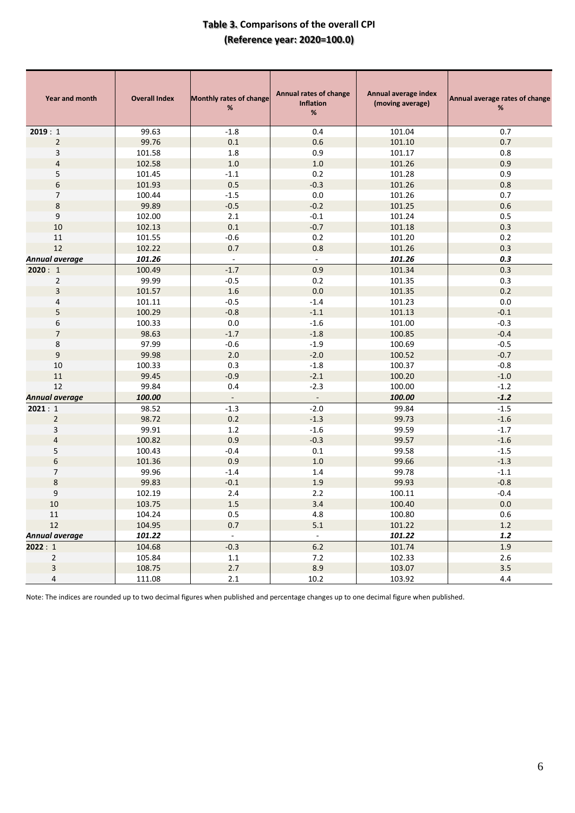# **Table 3. Comparisons of the overall CPI (Reference year: 2020=100.0)**

| Year and month<br><b>Overall Index</b> |        | <b>Monthly rates of change</b><br>$\%$ | Annual rates of change<br><b>Inflation</b><br>$\%$ | Annual average index<br>(moving average) | Annual average rates of change<br>% |
|----------------------------------------|--------|----------------------------------------|----------------------------------------------------|------------------------------------------|-------------------------------------|
| 2019:1                                 | 99.63  | $-1.8$                                 | 0.4                                                | 101.04                                   | 0.7                                 |
| $\overline{2}$                         | 99.76  | $0.1\,$                                | 0.6                                                | 101.10                                   | 0.7                                 |
| 3                                      | 101.58 | 1.8                                    | 0.9                                                | 101.17                                   | 0.8                                 |
| 4                                      | 102.58 | $1.0\,$                                | $1.0$                                              | 101.26                                   | 0.9                                 |
| 5                                      | 101.45 | $-1.1$                                 | 0.2                                                | 101.28                                   | 0.9                                 |
| 6                                      | 101.93 | 0.5                                    | $-0.3$                                             | 101.26                                   | 0.8                                 |
| 7                                      | 100.44 | $-1.5$                                 | $0.0\,$                                            | 101.26                                   | 0.7                                 |
| 8                                      | 99.89  | $-0.5$                                 | $-0.2$                                             | 101.25                                   | 0.6                                 |
| 9                                      | 102.00 | 2.1                                    | $-0.1$                                             | 101.24                                   | 0.5                                 |
| 10                                     | 102.13 | $0.1\,$                                | $-0.7$                                             | 101.18                                   | 0.3                                 |
| $11\,$                                 | 101.55 | $-0.6$                                 | 0.2                                                | 101.20                                   | 0.2                                 |
| 12                                     | 102.22 | 0.7                                    | 0.8                                                | 101.26                                   | 0.3                                 |
| Annual average                         | 101.26 | $\omega$                               | $\omega$                                           | 101.26                                   | 0.3                                 |
| 2020:1                                 | 100.49 | $-1.7$                                 | 0.9                                                | 101.34                                   | 0.3                                 |
| $\overline{2}$                         | 99.99  | $-0.5$                                 | 0.2                                                | 101.35                                   | 0.3                                 |
| 3                                      | 101.57 | 1.6                                    | 0.0                                                | 101.35                                   | 0.2                                 |
| 4                                      | 101.11 | $-0.5$                                 | $-1.4$                                             | 101.23                                   | 0.0                                 |
| 5                                      | 100.29 | $-0.8$                                 | $-1.1$                                             | 101.13                                   | $-0.1$                              |
| 6                                      | 100.33 | $0.0\,$                                | $-1.6$                                             | 101.00                                   | $-0.3$                              |
| $\overline{7}$                         | 98.63  | $-1.7$                                 | $-1.8$                                             | 100.85                                   | $-0.4$                              |
| 8                                      | 97.99  | $-0.6$                                 | $-1.9$                                             | 100.69                                   | $-0.5$                              |
| $\boldsymbol{9}$                       | 99.98  | 2.0                                    | $-2.0$                                             | 100.52                                   | $-0.7$                              |
| $10\,$                                 | 100.33 | 0.3                                    | $-1.8$                                             | 100.37                                   | $-0.8$                              |
| $11\,$                                 | 99.45  | $-0.9$                                 | $-2.1$                                             | 100.20                                   | $-1.0$                              |
| 12                                     | 99.84  | 0.4                                    | $-2.3$                                             | 100.00                                   | $-1.2$                              |
| <b>Annual average</b>                  | 100.00 | $\overline{\phantom{a}}$               | $\blacksquare$                                     | 100.00                                   | $-1.2$                              |
| 2021:1                                 | 98.52  | $-1.3$                                 | $-2.0$                                             | 99.84                                    | $-1.5$                              |
| $\overline{2}$                         | 98.72  | 0.2                                    | $-1.3$                                             | 99.73                                    | $-1.6$                              |
| 3                                      | 99.91  | 1.2                                    | $-1.6$                                             | 99.59                                    | $-1.7$                              |
| $\overline{\mathbf{4}}$                | 100.82 | 0.9                                    | $-0.3$                                             | 99.57                                    | $-1.6$                              |
| 5                                      | 100.43 | $-0.4$                                 | $0.1\,$                                            | 99.58                                    | $-1.5$                              |
| 6                                      | 101.36 | 0.9                                    | $1.0$                                              | 99.66                                    | $-1.3$                              |
| 7                                      | 99.96  | $-1.4$                                 | 1.4                                                | 99.78                                    | $-1.1$                              |
| 8                                      | 99.83  | $-0.1$                                 | 1.9                                                | 99.93                                    | $-0.8$                              |
| 9                                      | 102.19 | 2.4                                    | 2.2                                                | 100.11                                   | $-0.4$                              |
| $10\,$                                 | 103.75 | $1.5\,$                                | $3.4$                                              | 100.40                                   | $0.0\,$                             |
| 11                                     | 104.24 | $0.5\,$                                | 4.8                                                | 100.80                                   | 0.6                                 |
| $12\,$                                 | 104.95 | 0.7                                    | $5.1$                                              | 101.22                                   | $1.2\,$                             |
| Annual average                         | 101.22 | $\sim$                                 | $\sim$                                             | 101.22                                   | 1.2                                 |
| 2022:1                                 | 104.68 | $-0.3$                                 | $6.2$                                              | 101.74                                   | 1.9                                 |
| $\overline{2}$                         | 105.84 | 1.1                                    | 7.2                                                | 102.33                                   | 2.6                                 |
| $\overline{\mathbf{3}}$                | 108.75 | 2.7                                    | 8.9                                                | 103.07                                   | 3.5                                 |
| 4                                      | 111.08 | $2.1\,$                                | 10.2                                               | 103.92                                   | $4.4\,$                             |

Note: The indices are rounded up to two decimal figures when published and percentage changes up to one decimal figure when published.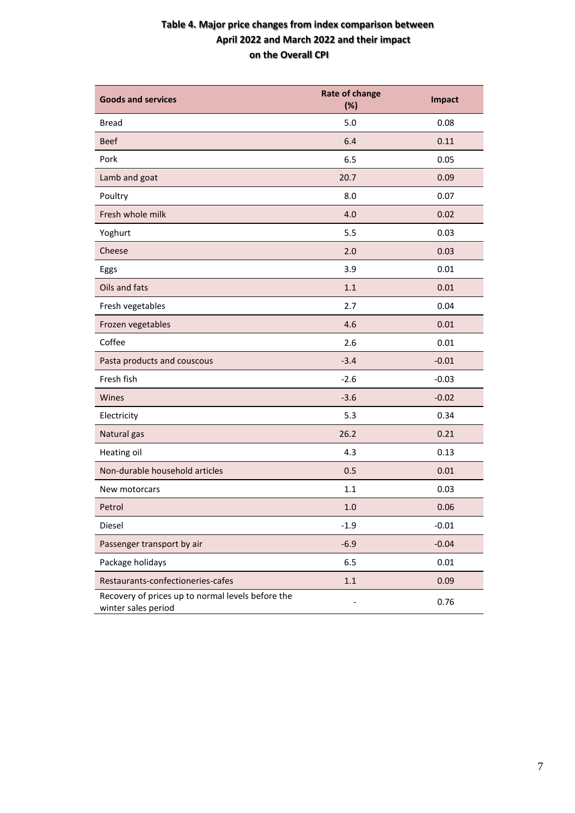# **Table 4. Major price changes from index comparison between April 2022 and March 2022 and their impact on the Overall CPI**

| <b>Goods and services</b>                                                | <b>Rate of change</b><br>(%) | Impact  |
|--------------------------------------------------------------------------|------------------------------|---------|
| <b>Bread</b>                                                             | 5.0                          | 0.08    |
| <b>Beef</b>                                                              | 6.4                          | 0.11    |
| Pork                                                                     | 6.5                          | 0.05    |
| Lamb and goat                                                            | 20.7                         | 0.09    |
| Poultry                                                                  | 8.0                          | 0.07    |
| Fresh whole milk                                                         | 4.0                          | 0.02    |
| Yoghurt                                                                  | 5.5                          | 0.03    |
| Cheese                                                                   | 2.0                          | 0.03    |
| Eggs                                                                     | 3.9                          | 0.01    |
| Oils and fats                                                            | 1.1                          | 0.01    |
| Fresh vegetables                                                         | 2.7                          | 0.04    |
| Frozen vegetables                                                        | 4.6                          | 0.01    |
| Coffee                                                                   | 2.6                          | 0.01    |
| Pasta products and couscous                                              | $-3.4$                       | $-0.01$ |
| Fresh fish                                                               | $-2.6$                       | $-0.03$ |
| Wines                                                                    | $-3.6$                       | $-0.02$ |
| Electricity                                                              | 5.3                          | 0.34    |
| Natural gas                                                              | 26.2                         | 0.21    |
| Heating oil                                                              | 4.3                          | 0.13    |
| Non-durable household articles                                           | 0.5                          | 0.01    |
| New motorcars                                                            | 1.1                          | 0.03    |
| Petrol                                                                   | 1.0                          | 0.06    |
| Diesel                                                                   | $-1.9$                       | $-0.01$ |
| Passenger transport by air                                               | $-6.9$                       | $-0.04$ |
| Package holidays                                                         | 6.5                          | 0.01    |
| Restaurants-confectioneries-cafes                                        | $1.1\,$                      | 0.09    |
| Recovery of prices up to normal levels before the<br>winter sales period |                              | 0.76    |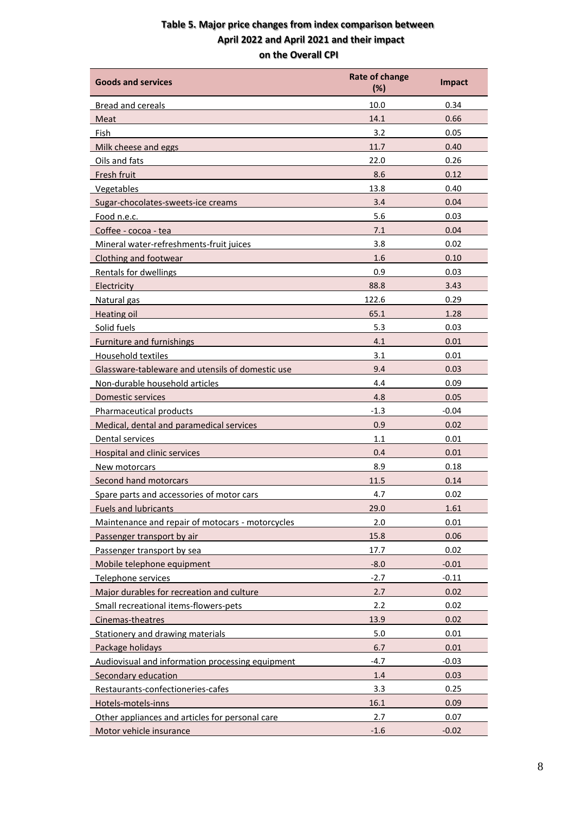# **Table 5. Major price changes from index comparison between April 2022 and April 2021 and their impact on the Overall CPI**

| <b>Goods and services</b>                        | <b>Rate of change</b><br>(%) | <b>Impact</b> |
|--------------------------------------------------|------------------------------|---------------|
| <b>Bread and cereals</b>                         | 10.0                         | 0.34          |
| Meat                                             | 14.1                         | 0.66          |
| Fish                                             | 3.2                          | 0.05          |
| Milk cheese and eggs                             | 11.7                         | 0.40          |
| Oils and fats                                    | 22.0                         | 0.26          |
| Fresh fruit                                      | 8.6                          | 0.12          |
| Vegetables                                       | 13.8                         | 0.40          |
| Sugar-chocolates-sweets-ice creams               | 3.4                          | 0.04          |
| Food n.e.c.                                      | 5.6                          | 0.03          |
| Coffee - cocoa - tea                             | 7.1                          | 0.04          |
| Mineral water-refreshments-fruit juices          | 3.8                          | 0.02          |
| Clothing and footwear                            | 1.6                          | 0.10          |
| Rentals for dwellings                            | 0.9                          | 0.03          |
| Electricity                                      | 88.8                         | 3.43          |
| Natural gas                                      | 122.6                        | 0.29          |
| <b>Heating oil</b>                               | 65.1                         | 1.28          |
| Solid fuels                                      | 5.3                          | 0.03          |
| <b>Furniture and furnishings</b>                 | 4.1                          | 0.01          |
| Household textiles                               | 3.1                          | 0.01          |
| Glassware-tableware and utensils of domestic use | 9.4                          | 0.03          |
| Non-durable household articles                   | 4.4                          | 0.09          |
| <b>Domestic services</b>                         | 4.8                          | 0.05          |
| Pharmaceutical products                          | $-1.3$                       | $-0.04$       |
| Medical, dental and paramedical services         | 0.9                          | 0.02          |
| Dental services                                  | 1.1                          | 0.01          |
| Hospital and clinic services                     | 0.4                          | 0.01          |
| New motorcars                                    | 8.9                          | 0.18          |
| Second hand motorcars                            | 11.5                         | 0.14          |
| Spare parts and accessories of motor cars        | 4.7                          | 0.02          |
| <b>Fuels and lubricants</b>                      | 29.0                         | 1.61          |
| Maintenance and repair of motocars - motorcycles | 2.0                          | 0.01          |
| Passenger transport by air                       | 15.8                         | 0.06          |
| Passenger transport by sea                       | 17.7                         | 0.02          |
| Mobile telephone equipment                       | $-8.0$                       | $-0.01$       |
| Telephone services                               | $-2.7$                       | $-0.11$       |
| Major durables for recreation and culture        | 2.7                          | 0.02          |
| Small recreational items-flowers-pets            | 2.2                          | 0.02          |
| Cinemas-theatres                                 | 13.9                         | 0.02          |
| Stationery and drawing materials                 | 5.0                          | 0.01          |
| Package holidays                                 | 6.7                          | 0.01          |
| Audiovisual and information processing equipment | $-4.7$                       | $-0.03$       |
| Secondary education                              | 1.4                          | 0.03          |
| Restaurants-confectioneries-cafes                | 3.3                          | 0.25          |
| Hotels-motels-inns                               | 16.1                         | 0.09          |
| Other appliances and articles for personal care  | 2.7                          | 0.07          |
| Motor vehicle insurance                          | $-1.6$                       | $-0.02$       |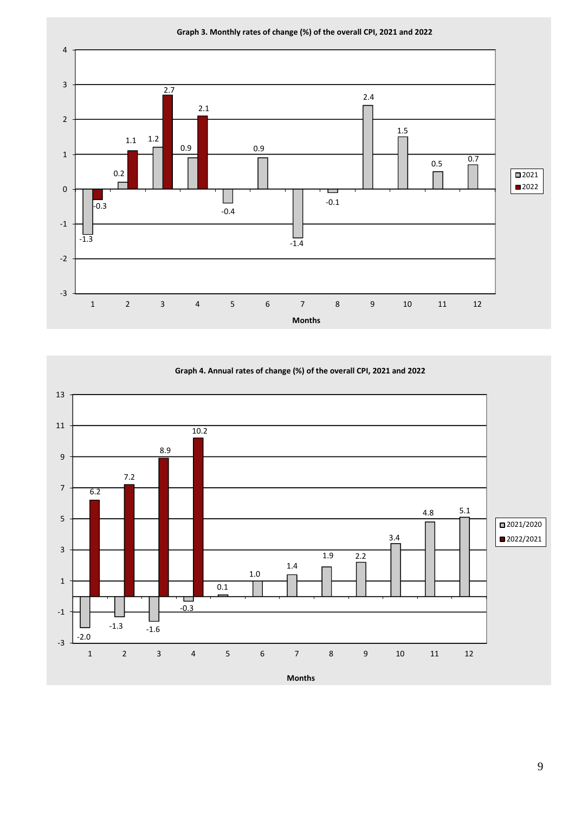

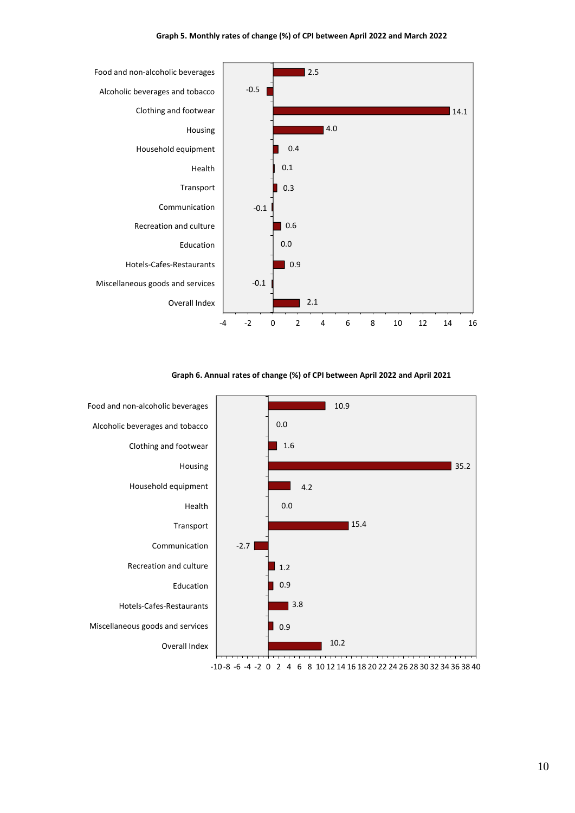#### **Graph 5. Monthly rates of change (%) of CPI between April 2022 and March 2022**



**Graph 6. Annual rates of change (%) of CPI between April 2022 and April 2021**

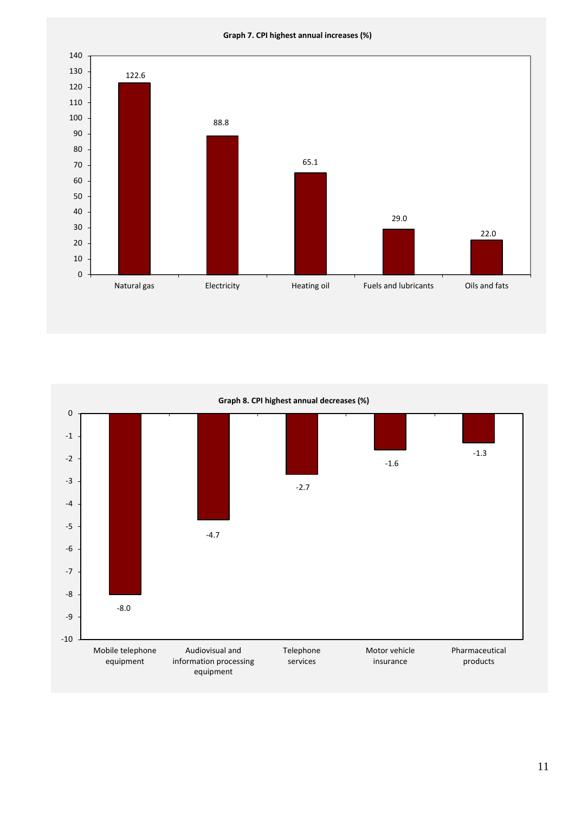**Graph 7. CPI highest annual increases (%)**





11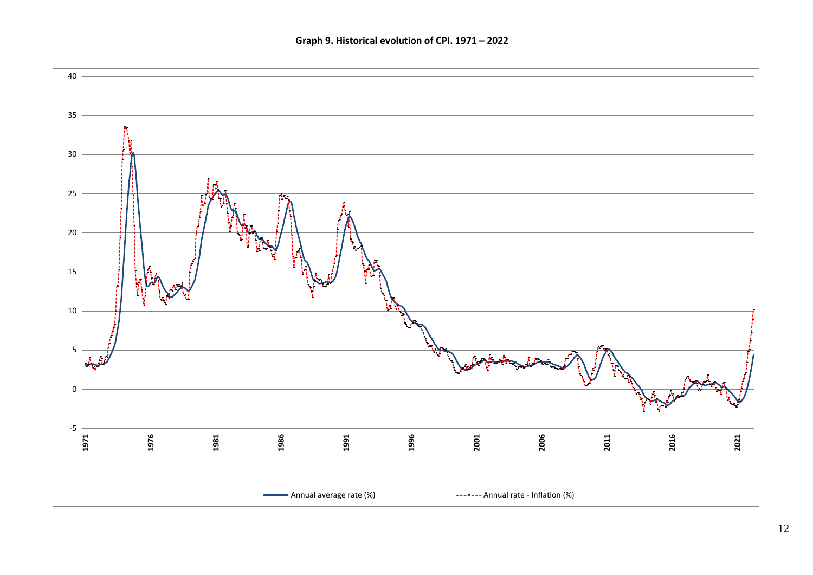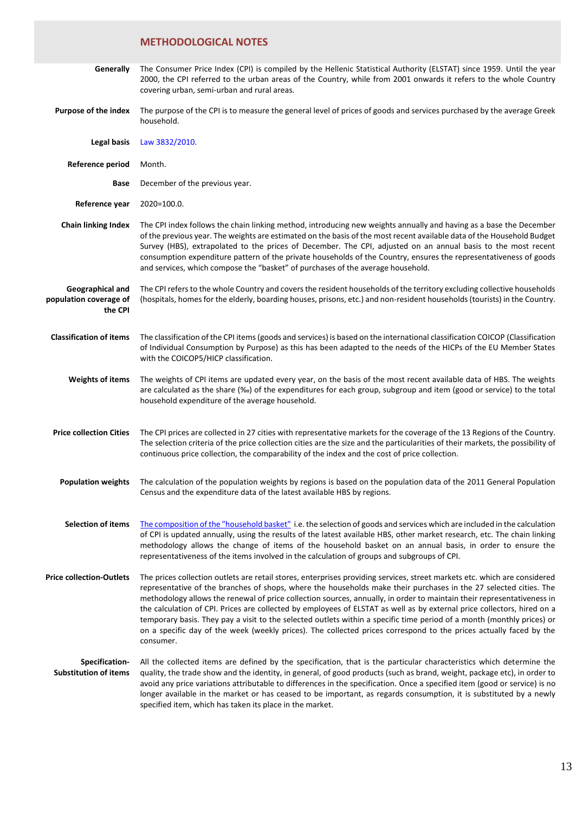# **METHODOLOGICAL NOTES**

| Generally                                             | The Consumer Price Index (CPI) is compiled by the Hellenic Statistical Authority (ELSTAT) since 1959. Until the year<br>2000, the CPI referred to the urban areas of the Country, while from 2001 onwards it refers to the whole Country<br>covering urban, semi-urban and rural areas.                                                                                                                                                                                                                                                                                                                                                                                                                                                                          |
|-------------------------------------------------------|------------------------------------------------------------------------------------------------------------------------------------------------------------------------------------------------------------------------------------------------------------------------------------------------------------------------------------------------------------------------------------------------------------------------------------------------------------------------------------------------------------------------------------------------------------------------------------------------------------------------------------------------------------------------------------------------------------------------------------------------------------------|
| <b>Purpose of the index</b>                           | The purpose of the CPI is to measure the general level of prices of goods and services purchased by the average Greek<br>household.                                                                                                                                                                                                                                                                                                                                                                                                                                                                                                                                                                                                                              |
| Legal basis                                           | Law 3832/2010.                                                                                                                                                                                                                                                                                                                                                                                                                                                                                                                                                                                                                                                                                                                                                   |
| Reference period                                      | Month.                                                                                                                                                                                                                                                                                                                                                                                                                                                                                                                                                                                                                                                                                                                                                           |
| Base                                                  | December of the previous year.                                                                                                                                                                                                                                                                                                                                                                                                                                                                                                                                                                                                                                                                                                                                   |
| Reference year                                        | 2020=100.0.                                                                                                                                                                                                                                                                                                                                                                                                                                                                                                                                                                                                                                                                                                                                                      |
| <b>Chain linking Index</b>                            | The CPI index follows the chain linking method, introducing new weights annually and having as a base the December<br>of the previous year. The weights are estimated on the basis of the most recent available data of the Household Budget<br>Survey (HBS), extrapolated to the prices of December. The CPI, adjusted on an annual basis to the most recent<br>consumption expenditure pattern of the private households of the Country, ensures the representativeness of goods<br>and services, which compose the "basket" of purchases of the average household.                                                                                                                                                                                            |
| Geographical and<br>population coverage of<br>the CPI | The CPI refers to the whole Country and covers the resident households of the territory excluding collective households<br>(hospitals, homes for the elderly, boarding houses, prisons, etc.) and non-resident households (tourists) in the Country.                                                                                                                                                                                                                                                                                                                                                                                                                                                                                                             |
| <b>Classification of items</b>                        | The classification of the CPI items (goods and services) is based on the international classification COICOP (Classification<br>of Individual Consumption by Purpose) as this has been adapted to the needs of the HICPs of the EU Member States<br>with the COICOP5/HICP classification.                                                                                                                                                                                                                                                                                                                                                                                                                                                                        |
| <b>Weights of items</b>                               | The weights of CPI items are updated every year, on the basis of the most recent available data of HBS. The weights<br>are calculated as the share (%o) of the expenditures for each group, subgroup and item (good or service) to the total<br>household expenditure of the average household.                                                                                                                                                                                                                                                                                                                                                                                                                                                                  |
| <b>Price collection Cities</b>                        | The CPI prices are collected in 27 cities with representative markets for the coverage of the 13 Regions of the Country.<br>The selection criteria of the price collection cities are the size and the particularities of their markets, the possibility of<br>continuous price collection, the comparability of the index and the cost of price collection.                                                                                                                                                                                                                                                                                                                                                                                                     |
|                                                       | Population weights The calculation of the population weights by regions is based on the population data of the 2011 General Population<br>Census and the expenditure data of the latest available HBS by regions.                                                                                                                                                                                                                                                                                                                                                                                                                                                                                                                                                |
| <b>Selection of items</b>                             | The composition of the "household basket" i.e. the selection of goods and services which are included in the calculation<br>of CPI is updated annually, using the results of the latest available HBS, other market research, etc. The chain linking<br>methodology allows the change of items of the household basket on an annual basis, in order to ensure the<br>representativeness of the items involved in the calculation of groups and subgroups of CPI.                                                                                                                                                                                                                                                                                                 |
| <b>Price collection-Outlets</b>                       | The prices collection outlets are retail stores, enterprises providing services, street markets etc. which are considered<br>representative of the branches of shops, where the households make their purchases in the 27 selected cities. The<br>methodology allows the renewal of price collection sources, annually, in order to maintain their representativeness in<br>the calculation of CPI. Prices are collected by employees of ELSTAT as well as by external price collectors, hired on a<br>temporary basis. They pay a visit to the selected outlets within a specific time period of a month (monthly prices) or<br>on a specific day of the week (weekly prices). The collected prices correspond to the prices actually faced by the<br>consumer. |
| Specification-<br><b>Substitution of items</b>        | All the collected items are defined by the specification, that is the particular characteristics which determine the<br>quality, the trade show and the identity, in general, of good products (such as brand, weight, package etc), in order to<br>avoid any price variations attributable to differences in the specification. Once a specified item (good or service) is no<br>longer available in the market or has ceased to be important, as regards consumption, it is substituted by a newly<br>specified item, which has taken its place in the market.                                                                                                                                                                                                 |